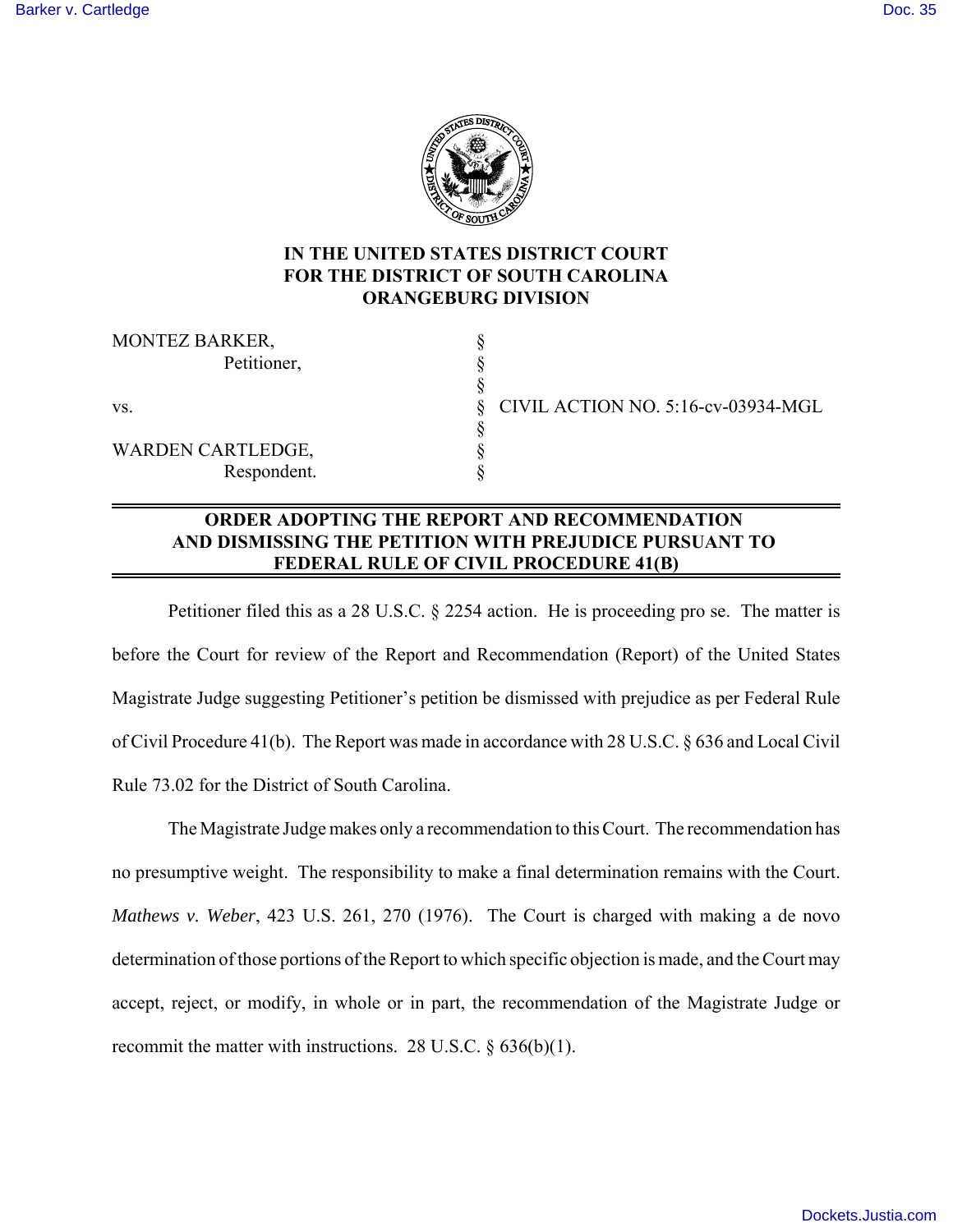

# **IN THE UNITED STATES DISTRICT COURT FOR THE DISTRICT OF SOUTH CAROLINA ORANGEBURG DIVISION**

| <b>MONTEZ BARKER,</b>    |  |
|--------------------------|--|
| Petitioner,              |  |
|                          |  |
| VS.                      |  |
|                          |  |
| <b>WARDEN CARTLEDGE,</b> |  |
| Respondent.              |  |

vs. § CIVIL ACTION NO. 5:16-cv-03934-MGL

## **ORDER ADOPTING THE REPORT AND RECOMMENDATION AND DISMISSING THE PETITION WITH PREJUDICE PURSUANT TO FEDERAL RULE OF CIVIL PROCEDURE 41(B)**

Petitioner filed this as a 28 U.S.C. § 2254 action. He is proceeding pro se. The matter is before the Court for review of the Report and Recommendation (Report) of the United States Magistrate Judge suggesting Petitioner's petition be dismissed with prejudice as per Federal Rule of Civil Procedure 41(b). The Report was made in accordance with 28 U.S.C. § 636 and Local Civil Rule 73.02 for the District of South Carolina.

The Magistrate Judge makes only a recommendation to this Court. The recommendation has no presumptive weight. The responsibility to make a final determination remains with the Court. *Mathews v. Weber*, 423 U.S. 261, 270 (1976). The Court is charged with making a de novo determination of those portions of the Report to which specific objection is made, and the Court may accept, reject, or modify, in whole or in part, the recommendation of the Magistrate Judge or recommit the matter with instructions. 28 U.S.C. § 636(b)(1).